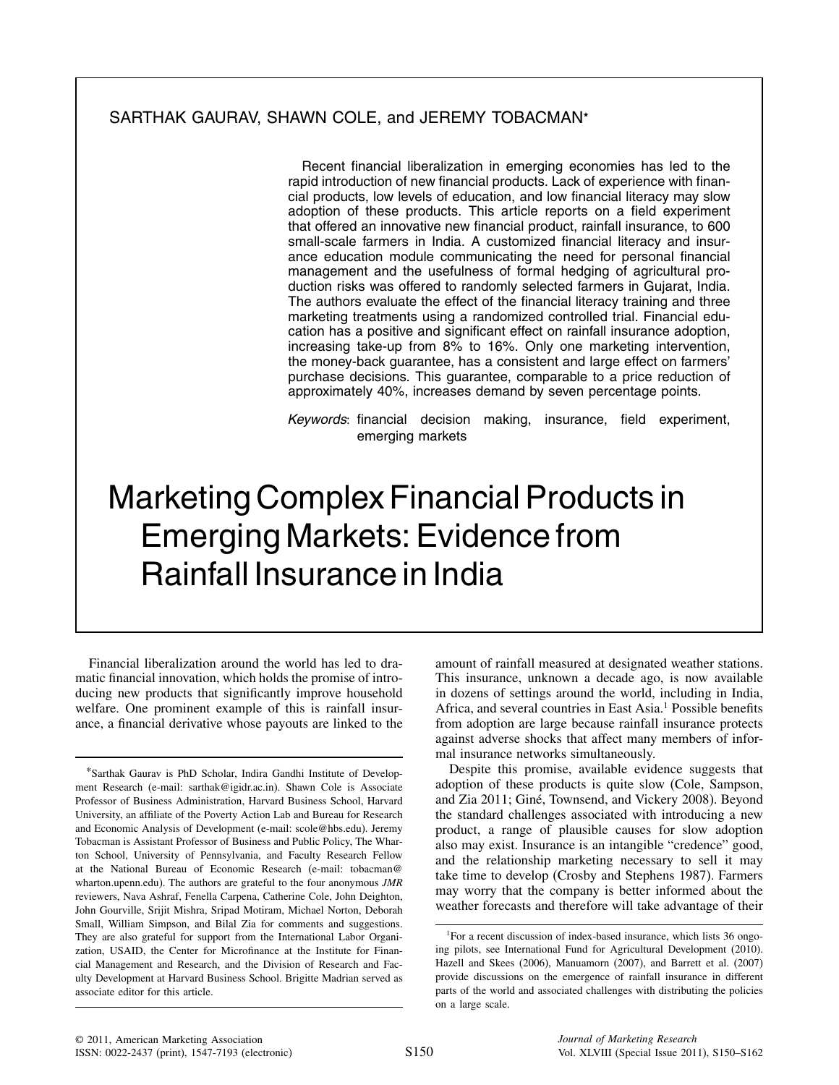## SARTHAK GAURAV, SHAWN COLE, and JEREMY TOBACMAN?

Recent financial liberalization in emerging economies has led to the rapid introduction of new financial products. Lack of experience with financial products, low levels of education, and low financial literacy may slow adoption of these products. This article reports on a field experiment that offered an innovative new financial product, rainfall insurance, to 600 small-scale farmers in India. A customized financial literacy and insurance education module communicating the need for personal financial management and the usefulness of formal hedging of agricultural production risks was offered to randomly selected farmers in Gujarat, India. The authors evaluate the effect of the financial literacy training and three marketing treatments using a randomized controlled trial. Financial education has a positive and significant effect on rainfall insurance adoption, increasing take-up from 8% to 16%. Only one marketing intervention, the money-back guarantee, has a consistent and large effect on farmers' purchase decisions. This guarantee, comparable to a price reduction of approximately 40%, increases demand by seven percentage points.

Keywords: financial decision making, insurance, field experiment, emerging markets

# Marketing Complex Financial Products in Emerging Markets: Evidence from Rainfall Insurance in India

Financial liberalization around the world has led to dramatic financial innovation, which holds the promise of introducing new products that significantly improve household welfare. One prominent example of this is rainfall insurance, a financial derivative whose payouts are linked to the

amount of rainfall measured at designated weather stations. This insurance, unknown a decade ago, is now available in dozens of settings around the world, including in India, Africa, and several countries in East Asia.<sup>1</sup> Possible benefits from adoption are large because rainfall insurance protects against adverse shocks that affect many members of informal insurance networks simultaneously.

Despite this promise, available evidence suggests that adoption of these products is quite slow (Cole, Sampson, and Zia 2011; Giné, Townsend, and Vickery 2008). Beyond the standard challenges associated with introducing a new product, a range of plausible causes for slow adoption also may exist. Insurance is an intangible "credence" good, and the relationship marketing necessary to sell it may take time to develop (Crosby and Stephens 1987). Farmers may worry that the company is better informed about the weather forecasts and therefore will take advantage of their

<sup>\*</sup>Sarthak Gaurav is PhD Scholar, Indira Gandhi Institute of Development Research (e-mail: sarthak@igidr.ac.in). Shawn Cole is Associate Professor of Business Administration, Harvard Business School, Harvard University, an affiliate of the Poverty Action Lab and Bureau for Research and Economic Analysis of Development (e-mail: scole@hbs.edu). Jeremy Tobacman is Assistant Professor of Business and Public Policy, The Wharton School, University of Pennsylvania, and Faculty Research Fellow at the National Bureau of Economic Research (e-mail: tobacman@ wharton.upenn.edu). The authors are grateful to the four anonymous  $JMR$ reviewers, Nava Ashraf, Fenella Carpena, Catherine Cole, John Deighton, John Gourville, Srijit Mishra, Sripad Motiram, Michael Norton, Deborah Small, William Simpson, and Bilal Zia for comments and suggestions. They are also grateful for support from the International Labor Organization, USAID, the Center for Microfinance at the Institute for Financial Management and Research, and the Division of Research and Faculty Development at Harvard Business School. Brigitte Madrian served as associate editor for this article.

<sup>&</sup>lt;sup>1</sup>For a recent discussion of index-based insurance, which lists 36 ongoing pilots, see International Fund for Agricultural Development (2010). Hazell and Skees (2006), Manuamorn (2007), and Barrett et al. (2007) provide discussions on the emergence of rainfall insurance in different parts of the world and associated challenges with distributing the policies on a large scale.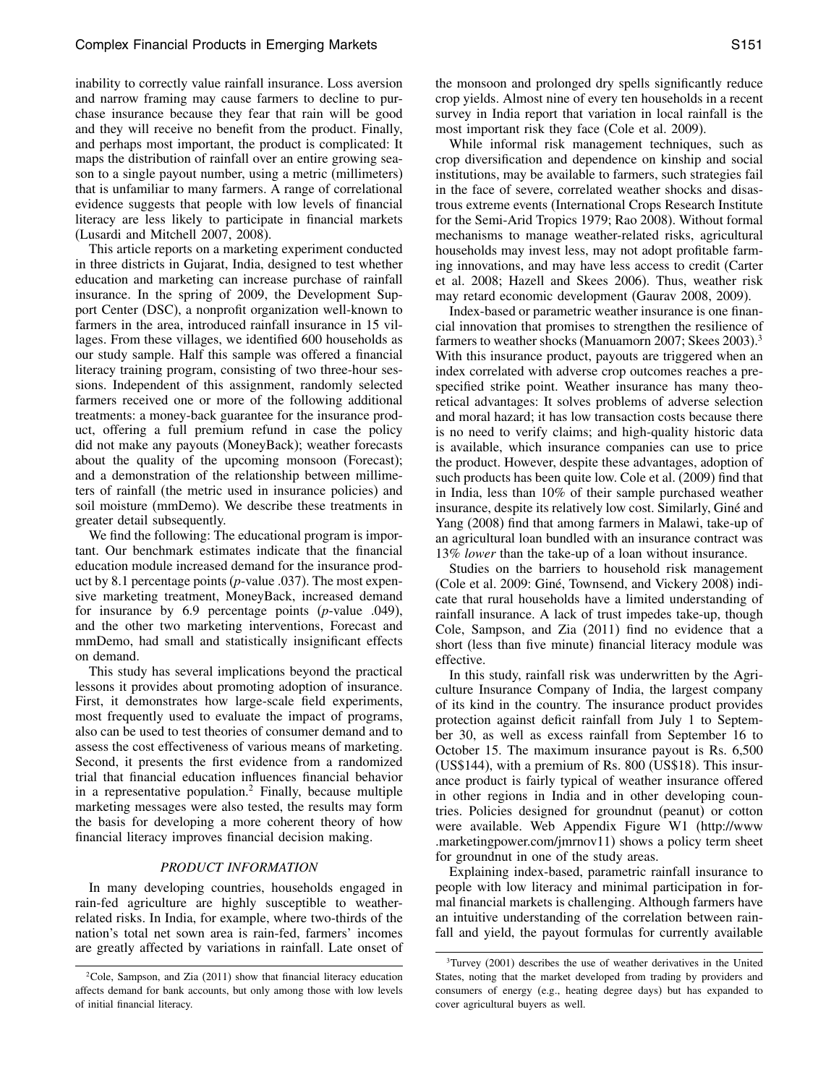inability to correctly value rainfall insurance. Loss aversion and narrow framing may cause farmers to decline to purchase insurance because they fear that rain will be good and they will receive no benefit from the product. Finally, and perhaps most important, the product is complicated: It maps the distribution of rainfall over an entire growing season to a single payout number, using a metric (millimeters) that is unfamiliar to many farmers. A range of correlational evidence suggests that people with low levels of financial literacy are less likely to participate in financial markets (Lusardi and Mitchell 2007, 2008).

This article reports on a marketing experiment conducted in three districts in Gujarat, India, designed to test whether education and marketing can increase purchase of rainfall insurance. In the spring of 2009, the Development Support Center (DSC), a nonprofit organization well-known to farmers in the area, introduced rainfall insurance in 15 villages. From these villages, we identified 600 households as our study sample. Half this sample was offered a financial literacy training program, consisting of two three-hour sessions. Independent of this assignment, randomly selected farmers received one or more of the following additional treatments: a money-back guarantee for the insurance product, offering a full premium refund in case the policy did not make any payouts (MoneyBack); weather forecasts about the quality of the upcoming monsoon (Forecast); and a demonstration of the relationship between millimeters of rainfall (the metric used in insurance policies) and soil moisture (mmDemo). We describe these treatments in greater detail subsequently.

We find the following: The educational program is important. Our benchmark estimates indicate that the financial education module increased demand for the insurance product by 8.1 percentage points ( $p$ -value .037). The most expensive marketing treatment, MoneyBack, increased demand for insurance by  $6.9$  percentage points ( $p$ -value .049), and the other two marketing interventions, Forecast and mmDemo, had small and statistically insignificant effects on demand.

This study has several implications beyond the practical lessons it provides about promoting adoption of insurance. First, it demonstrates how large-scale field experiments, most frequently used to evaluate the impact of programs, also can be used to test theories of consumer demand and to assess the cost effectiveness of various means of marketing. Second, it presents the first evidence from a randomized trial that financial education influences financial behavior in a representative population.<sup>2</sup> Finally, because multiple marketing messages were also tested, the results may form the basis for developing a more coherent theory of how financial literacy improves financial decision making.

#### PRODUCT INFORMATION

In many developing countries, households engaged in rain-fed agriculture are highly susceptible to weatherrelated risks. In India, for example, where two-thirds of the nation's total net sown area is rain-fed, farmers' incomes are greatly affected by variations in rainfall. Late onset of the monsoon and prolonged dry spells significantly reduce crop yields. Almost nine of every ten households in a recent survey in India report that variation in local rainfall is the most important risk they face (Cole et al. 2009).

While informal risk management techniques, such as crop diversification and dependence on kinship and social institutions, may be available to farmers, such strategies fail in the face of severe, correlated weather shocks and disastrous extreme events (International Crops Research Institute for the Semi-Arid Tropics 1979; Rao 2008). Without formal mechanisms to manage weather-related risks, agricultural households may invest less, may not adopt profitable farming innovations, and may have less access to credit (Carter et al. 2008; Hazell and Skees 2006). Thus, weather risk may retard economic development (Gaurav 2008, 2009).

Index-based or parametric weather insurance is one financial innovation that promises to strengthen the resilience of farmers to weather shocks (Manuamorn 2007; Skees 2003).<sup>3</sup> With this insurance product, payouts are triggered when an index correlated with adverse crop outcomes reaches a prespecified strike point. Weather insurance has many theoretical advantages: It solves problems of adverse selection and moral hazard; it has low transaction costs because there is no need to verify claims; and high-quality historic data is available, which insurance companies can use to price the product. However, despite these advantages, adoption of such products has been quite low. Cole et al. (2009) find that in India, less than 10% of their sample purchased weather insurance, despite its relatively low cost. Similarly, Giné and Yang (2008) find that among farmers in Malawi, take-up of an agricultural loan bundled with an insurance contract was 13% lower than the take-up of a loan without insurance.

Studies on the barriers to household risk management (Cole et al. 2009: Giné, Townsend, and Vickery 2008) indicate that rural households have a limited understanding of rainfall insurance. A lack of trust impedes take-up, though Cole, Sampson, and Zia (2011) find no evidence that a short (less than five minute) financial literacy module was effective.

In this study, rainfall risk was underwritten by the Agriculture Insurance Company of India, the largest company of its kind in the country. The insurance product provides protection against deficit rainfall from July 1 to September 30, as well as excess rainfall from September 16 to October 15. The maximum insurance payout is Rs. 6,500 (US\$144), with a premium of Rs. 800 (US\$18). This insurance product is fairly typical of weather insurance offered in other regions in India and in other developing countries. Policies designed for groundnut (peanut) or cotton were available. Web Appendix Figure W1 (http://www .marketingpower.com/jmrnov11) shows a policy term sheet for groundnut in one of the study areas.

Explaining index-based, parametric rainfall insurance to people with low literacy and minimal participation in formal financial markets is challenging. Although farmers have an intuitive understanding of the correlation between rainfall and yield, the payout formulas for currently available

<sup>&</sup>lt;sup>2</sup>Cole, Sampson, and Zia (2011) show that financial literacy education affects demand for bank accounts, but only among those with low levels of initial financial literacy.

 $3$ Turvey (2001) describes the use of weather derivatives in the United States, noting that the market developed from trading by providers and consumers of energy (e.g., heating degree days) but has expanded to cover agricultural buyers as well.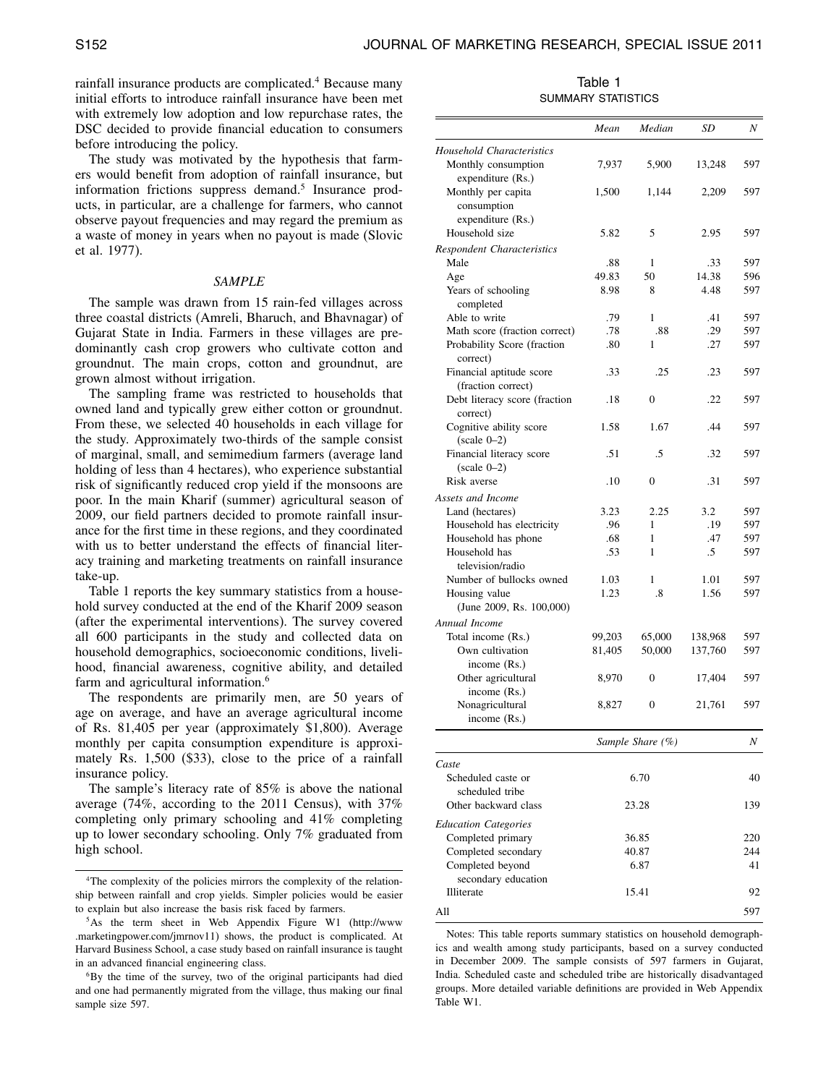rainfall insurance products are complicated.<sup>4</sup> Because many initial efforts to introduce rainfall insurance have been met with extremely low adoption and low repurchase rates, the DSC decided to provide financial education to consumers before introducing the policy.

The study was motivated by the hypothesis that farmers would benefit from adoption of rainfall insurance, but information frictions suppress demand.<sup>5</sup> Insurance products, in particular, are a challenge for farmers, who cannot observe payout frequencies and may regard the premium as a waste of money in years when no payout is made (Slovic et al. 1977).

#### SAMPLE

The sample was drawn from 15 rain-fed villages across three coastal districts (Amreli, Bharuch, and Bhavnagar) of Gujarat State in India. Farmers in these villages are predominantly cash crop growers who cultivate cotton and groundnut. The main crops, cotton and groundnut, are grown almost without irrigation.

The sampling frame was restricted to households that owned land and typically grew either cotton or groundnut. From these, we selected 40 households in each village for the study. Approximately two-thirds of the sample consist of marginal, small, and semimedium farmers (average land holding of less than 4 hectares), who experience substantial risk of significantly reduced crop yield if the monsoons are poor. In the main Kharif (summer) agricultural season of 2009, our field partners decided to promote rainfall insurance for the first time in these regions, and they coordinated with us to better understand the effects of financial literacy training and marketing treatments on rainfall insurance take-up.

Table 1 reports the key summary statistics from a household survey conducted at the end of the Kharif 2009 season (after the experimental interventions). The survey covered all 600 participants in the study and collected data on household demographics, socioeconomic conditions, livelihood, financial awareness, cognitive ability, and detailed farm and agricultural information.<sup>6</sup>

The respondents are primarily men, are 50 years of age on average, and have an average agricultural income of Rs. 81,405 per year (approximately \$1,800). Average monthly per capita consumption expenditure is approximately Rs. 1,500 (\$33), close to the price of a rainfall insurance policy.

The sample's literacy rate of 85% is above the national average (74%, according to the 2011 Census), with 37% completing only primary schooling and 41% completing up to lower secondary schooling. Only 7% graduated from high school.

Table 1 SUMMARY STATISTICS

|                                                | Mean   | Median           | SD      | Ν   |
|------------------------------------------------|--------|------------------|---------|-----|
| Household Characteristics                      |        |                  |         |     |
| Monthly consumption<br>expenditure (Rs.)       | 7,937  | 5,900            | 13,248  | 597 |
| Monthly per capita                             | 1,500  | 1,144            | 2,209   | 597 |
| consumption                                    |        |                  |         |     |
| expenditure (Rs.)                              |        |                  |         |     |
| Household size                                 | 5.82   | 5                | 2.95    | 597 |
| Respondent Characteristics                     |        |                  |         |     |
| Male                                           | .88    | 1                | .33     | 597 |
| Age                                            | 49.83  | 50               | 14.38   | 596 |
| Years of schooling                             | 8.98   | 8                | 4.48    | 597 |
| completed                                      |        |                  |         |     |
| Able to write                                  | .79    | 1                | .41     | 597 |
| Math score (fraction correct)                  | .78    | .88              | .29     | 597 |
| Probability Score (fraction<br>correct)        | .80    | 1                | .27     | 597 |
| Financial aptitude score<br>(fraction correct) | .33    | .25              | .23     | 597 |
| Debt literacy score (fraction<br>correct)      | .18    | $\overline{0}$   | .22     | 597 |
| Cognitive ability score<br>$(scale 0-2)$       | 1.58   | 1.67             | .44     | 597 |
| Financial literacy score<br>$(scale 0-2)$      | .51    | .5               | .32     | 597 |
| Risk averse                                    | .10    | $\overline{0}$   | .31     | 597 |
| Assets and Income                              |        |                  |         |     |
| Land (hectares)                                | 3.23   | 2.25             | 3.2     | 597 |
| Household has electricity                      | .96    | 1                | .19     | 597 |
| Household has phone                            | .68    | 1                | .47     | 597 |
| Household has                                  | .53    | 1                | .5      | 597 |
| television/radio                               |        |                  |         |     |
| Number of bullocks owned                       | 1.03   | 1                | 1.01    | 597 |
| Housing value                                  | 1.23   | $\cdot^8$        | 1.56    | 597 |
| (June 2009, Rs. 100,000)                       |        |                  |         |     |
| Annual Income                                  |        |                  |         |     |
| Total income (Rs.)                             | 99,203 | 65,000           | 138,968 | 597 |
| Own cultivation                                | 81,405 | 50,000           | 137,760 | 597 |
| income (Rs.)                                   |        |                  |         |     |
| Other agricultural<br>income (Rs.)             | 8,970  | $\overline{0}$   | 17,404  | 597 |
| Nonagricultural<br>income (Rs.)                | 8,827  | $\overline{0}$   | 21,761  | 597 |
|                                                |        | Sample Share (%) |         | Ν   |
|                                                |        |                  |         |     |
| Caste                                          |        |                  |         |     |
| Scheduled caste or                             |        | 6.70             |         | 40  |
| scheduled tribe                                |        |                  |         |     |
| Other backward class                           |        | 23.28            |         | 139 |
| <b>Education Categories</b>                    |        |                  |         |     |
| Completed primary                              |        | 36.85            |         | 220 |
| Completed secondary                            |        | 40.87            |         | 244 |
| Completed beyond                               |        | 6.87             |         | 41  |
| secondary education                            |        |                  |         |     |
| Illiterate                                     |        | 15.41            |         | 92  |
| All                                            |        |                  |         | 597 |
|                                                |        |                  |         |     |

Notes: This table reports summary statistics on household demographics and wealth among study participants, based on a survey conducted in December 2009. The sample consists of 597 farmers in Gujarat, India. Scheduled caste and scheduled tribe are historically disadvantaged groups. More detailed variable definitions are provided in Web Appendix Table W1.

<sup>4</sup>The complexity of the policies mirrors the complexity of the relationship between rainfall and crop yields. Simpler policies would be easier to explain but also increase the basis risk faced by farmers.

<sup>&</sup>lt;sup>5</sup>As the term sheet in Web Appendix Figure W1 (http://www .marketingpower.com/jmrnov11) shows, the product is complicated. At Harvard Business School, a case study based on rainfall insurance is taught in an advanced financial engineering class.

<sup>6</sup>By the time of the survey, two of the original participants had died and one had permanently migrated from the village, thus making our final sample size 597.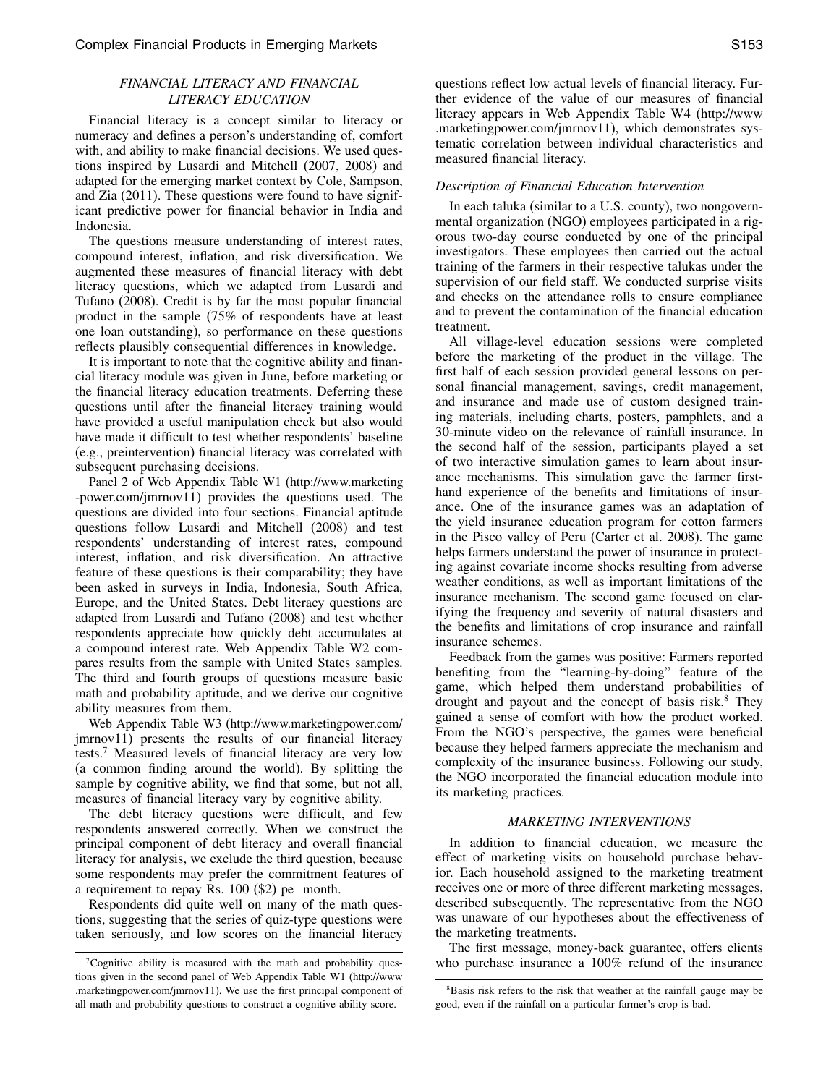### FINANCIAL LITERACY AND FINANCIAL LITERACY EDUCATION

Financial literacy is a concept similar to literacy or numeracy and defines a person's understanding of, comfort with, and ability to make financial decisions. We used questions inspired by Lusardi and Mitchell (2007, 2008) and adapted for the emerging market context by Cole, Sampson, and Zia (2011). These questions were found to have significant predictive power for financial behavior in India and Indonesia.

The questions measure understanding of interest rates, compound interest, inflation, and risk diversification. We augmented these measures of financial literacy with debt literacy questions, which we adapted from Lusardi and Tufano (2008). Credit is by far the most popular financial product in the sample (75% of respondents have at least one loan outstanding), so performance on these questions reflects plausibly consequential differences in knowledge.

It is important to note that the cognitive ability and financial literacy module was given in June, before marketing or the financial literacy education treatments. Deferring these questions until after the financial literacy training would have provided a useful manipulation check but also would have made it difficult to test whether respondents' baseline (e.g., preintervention) financial literacy was correlated with subsequent purchasing decisions.

Panel 2 of Web Appendix Table W1 (http://www.marketing -power.com/jmrnov11) provides the questions used. The questions are divided into four sections. Financial aptitude questions follow Lusardi and Mitchell (2008) and test respondents' understanding of interest rates, compound interest, inflation, and risk diversification. An attractive feature of these questions is their comparability; they have been asked in surveys in India, Indonesia, South Africa, Europe, and the United States. Debt literacy questions are adapted from Lusardi and Tufano (2008) and test whether respondents appreciate how quickly debt accumulates at a compound interest rate. Web Appendix Table W2 compares results from the sample with United States samples. The third and fourth groups of questions measure basic math and probability aptitude, and we derive our cognitive ability measures from them.

Web Appendix Table W3 (http://www.marketingpower.com/ jmrnov11) presents the results of our financial literacy tests.<sup>7</sup> Measured levels of financial literacy are very low (a common finding around the world). By splitting the sample by cognitive ability, we find that some, but not all, measures of financial literacy vary by cognitive ability.

The debt literacy questions were difficult, and few respondents answered correctly. When we construct the principal component of debt literacy and overall financial literacy for analysis, we exclude the third question, because some respondents may prefer the commitment features of a requirement to repay Rs. 100 (\$2) pe month.

Respondents did quite well on many of the math questions, suggesting that the series of quiz-type questions were taken seriously, and low scores on the financial literacy questions reflect low actual levels of financial literacy. Further evidence of the value of our measures of financial literacy appears in Web Appendix Table W4 (http://www .marketingpower.com/jmrnov11), which demonstrates systematic correlation between individual characteristics and measured financial literacy.

#### Description of Financial Education Intervention

In each taluka (similar to a U.S. county), two nongovernmental organization (NGO) employees participated in a rigorous two-day course conducted by one of the principal investigators. These employees then carried out the actual training of the farmers in their respective talukas under the supervision of our field staff. We conducted surprise visits and checks on the attendance rolls to ensure compliance and to prevent the contamination of the financial education treatment.

All village-level education sessions were completed before the marketing of the product in the village. The first half of each session provided general lessons on personal financial management, savings, credit management, and insurance and made use of custom designed training materials, including charts, posters, pamphlets, and a 30-minute video on the relevance of rainfall insurance. In the second half of the session, participants played a set of two interactive simulation games to learn about insurance mechanisms. This simulation gave the farmer firsthand experience of the benefits and limitations of insurance. One of the insurance games was an adaptation of the yield insurance education program for cotton farmers in the Pisco valley of Peru (Carter et al. 2008). The game helps farmers understand the power of insurance in protecting against covariate income shocks resulting from adverse weather conditions, as well as important limitations of the insurance mechanism. The second game focused on clarifying the frequency and severity of natural disasters and the benefits and limitations of crop insurance and rainfall insurance schemes.

Feedback from the games was positive: Farmers reported benefiting from the "learning-by-doing" feature of the game, which helped them understand probabilities of drought and payout and the concept of basis risk.<sup>8</sup> They gained a sense of comfort with how the product worked. From the NGO's perspective, the games were beneficial because they helped farmers appreciate the mechanism and complexity of the insurance business. Following our study, the NGO incorporated the financial education module into its marketing practices.

#### MARKETING INTERVENTIONS

In addition to financial education, we measure the effect of marketing visits on household purchase behavior. Each household assigned to the marketing treatment receives one or more of three different marketing messages, described subsequently. The representative from the NGO was unaware of our hypotheses about the effectiveness of the marketing treatments.

The first message, money-back guarantee, offers clients who purchase insurance a 100% refund of the insurance

<sup>7</sup>Cognitive ability is measured with the math and probability questions given in the second panel of Web Appendix Table W1 (http://www .marketingpower.com/jmrnov11). We use the first principal component of all math and probability questions to construct a cognitive ability score.

<sup>8</sup>Basis risk refers to the risk that weather at the rainfall gauge may be good, even if the rainfall on a particular farmer's crop is bad.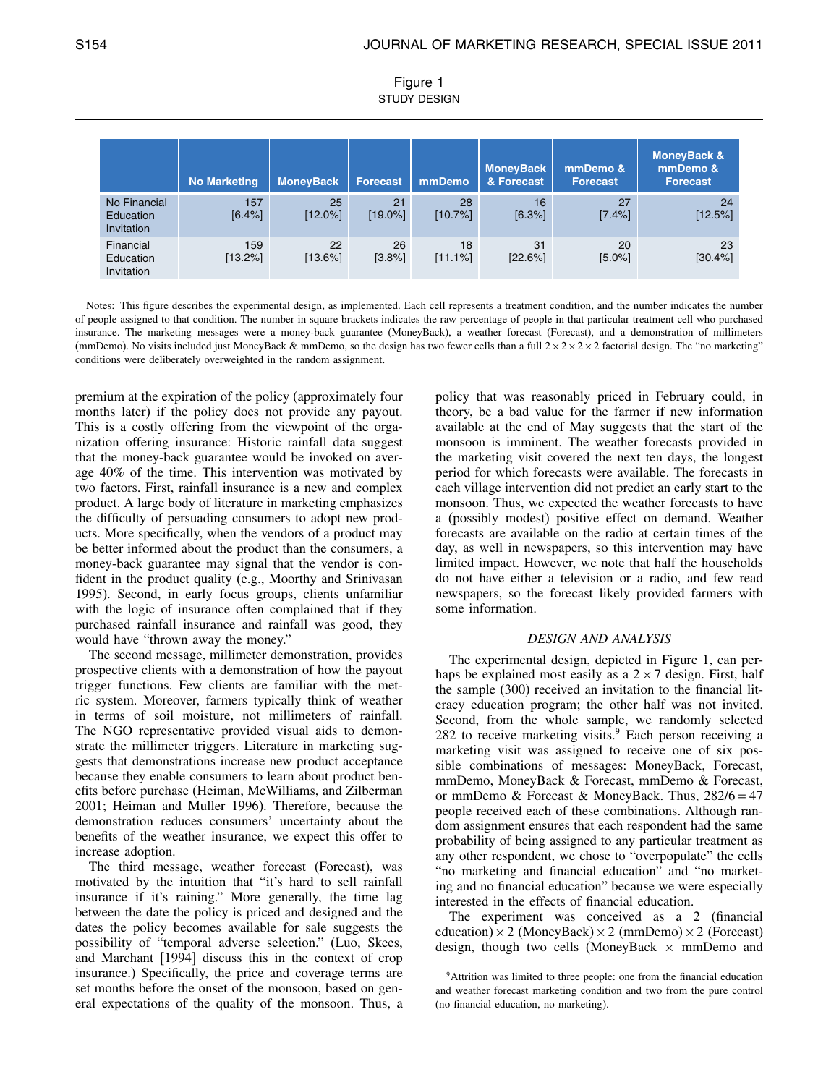|                                                | <b>No Marketing</b> | <b>MoneyBack</b> | <b>Forecast</b>  | mmDemo        | <b>MoneyBack</b><br>& Forecast | mmDemo &<br><b>Forecast</b> | <b>MoneyBack &amp;</b><br>mmDemo &<br><b>Forecast</b> |
|------------------------------------------------|---------------------|------------------|------------------|---------------|--------------------------------|-----------------------------|-------------------------------------------------------|
| No Financial<br><b>Education</b><br>Invitation | 157<br>[6.4%]       | 25<br>[12.0%]    | 21<br>$[19.0\%]$ | 28<br>[10.7%] | 16<br>[6.3%]                   | 27<br>[7.4%]                | 24<br>$[12.5\%]$                                      |
| Financial<br>Education<br>Invitation           | 159<br>[13.2%]      | 22<br>$[13.6\%]$ | 26<br>[3.8%]     | 18<br>[11.1%] | 31<br>[22.6%]                  | 20<br>[5.0%]                | 23<br>[30.4%]                                         |

Notes: This figure describes the experimental design, as implemented. Each cell represents a treatment condition, and the number indicates the number of people assigned to that condition. The number in square brackets indicates the raw percentage of people in that particular treatment cell who purchased insurance. The marketing messages were a money-back guarantee (MoneyBack), a weather forecast (Forecast), and a demonstration of millimeters (mmDemo). No visits included just MoneyBack & mmDemo, so the design has two fewer cells than a full  $2 \times 2 \times 2 \times 2$  factorial design. The "no marketing" conditions were deliberately overweighted in the random assignment.

premium at the expiration of the policy (approximately four months later) if the policy does not provide any payout. This is a costly offering from the viewpoint of the organization offering insurance: Historic rainfall data suggest that the money-back guarantee would be invoked on average 40% of the time. This intervention was motivated by two factors. First, rainfall insurance is a new and complex product. A large body of literature in marketing emphasizes the difficulty of persuading consumers to adopt new products. More specifically, when the vendors of a product may be better informed about the product than the consumers, a money-back guarantee may signal that the vendor is confident in the product quality (e.g., Moorthy and Srinivasan 1995). Second, in early focus groups, clients unfamiliar with the logic of insurance often complained that if they purchased rainfall insurance and rainfall was good, they would have "thrown away the money."

The second message, millimeter demonstration, provides prospective clients with a demonstration of how the payout trigger functions. Few clients are familiar with the metric system. Moreover, farmers typically think of weather in terms of soil moisture, not millimeters of rainfall. The NGO representative provided visual aids to demonstrate the millimeter triggers. Literature in marketing suggests that demonstrations increase new product acceptance because they enable consumers to learn about product benefits before purchase (Heiman, McWilliams, and Zilberman 2001; Heiman and Muller 1996). Therefore, because the demonstration reduces consumers' uncertainty about the benefits of the weather insurance, we expect this offer to increase adoption.

The third message, weather forecast (Forecast), was motivated by the intuition that "it's hard to sell rainfall insurance if it's raining." More generally, the time lag between the date the policy is priced and designed and the dates the policy becomes available for sale suggests the possibility of "temporal adverse selection." (Luo, Skees, and Marchant [1994] discuss this in the context of crop insurance.) Specifically, the price and coverage terms are set months before the onset of the monsoon, based on general expectations of the quality of the monsoon. Thus, a policy that was reasonably priced in February could, in theory, be a bad value for the farmer if new information available at the end of May suggests that the start of the monsoon is imminent. The weather forecasts provided in the marketing visit covered the next ten days, the longest period for which forecasts were available. The forecasts in each village intervention did not predict an early start to the monsoon. Thus, we expected the weather forecasts to have a (possibly modest) positive effect on demand. Weather forecasts are available on the radio at certain times of the day, as well in newspapers, so this intervention may have limited impact. However, we note that half the households do not have either a television or a radio, and few read newspapers, so the forecast likely provided farmers with some information.

#### DESIGN AND ANALYSIS

The experimental design, depicted in Figure 1, can perhaps be explained most easily as a  $2 \times 7$  design. First, half the sample (300) received an invitation to the financial literacy education program; the other half was not invited. Second, from the whole sample, we randomly selected 282 to receive marketing visits. $9$  Each person receiving a marketing visit was assigned to receive one of six possible combinations of messages: MoneyBack, Forecast, mmDemo, MoneyBack & Forecast, mmDemo & Forecast, or mmDemo & Forecast & MoneyBack. Thus,  $282/6 = 47$ people received each of these combinations. Although random assignment ensures that each respondent had the same probability of being assigned to any particular treatment as any other respondent, we chose to "overpopulate" the cells "no marketing and financial education" and "no marketing and no financial education" because we were especially interested in the effects of financial education.

The experiment was conceived as a 2 (financial education)  $\times$  2 (MoneyBack)  $\times$  2 (mmDemo)  $\times$  2 (Forecast) design, though two cells (MoneyBack  $\times$  mmDemo and

<sup>&</sup>lt;sup>9</sup>Attrition was limited to three people: one from the financial education and weather forecast marketing condition and two from the pure control (no financial education, no marketing).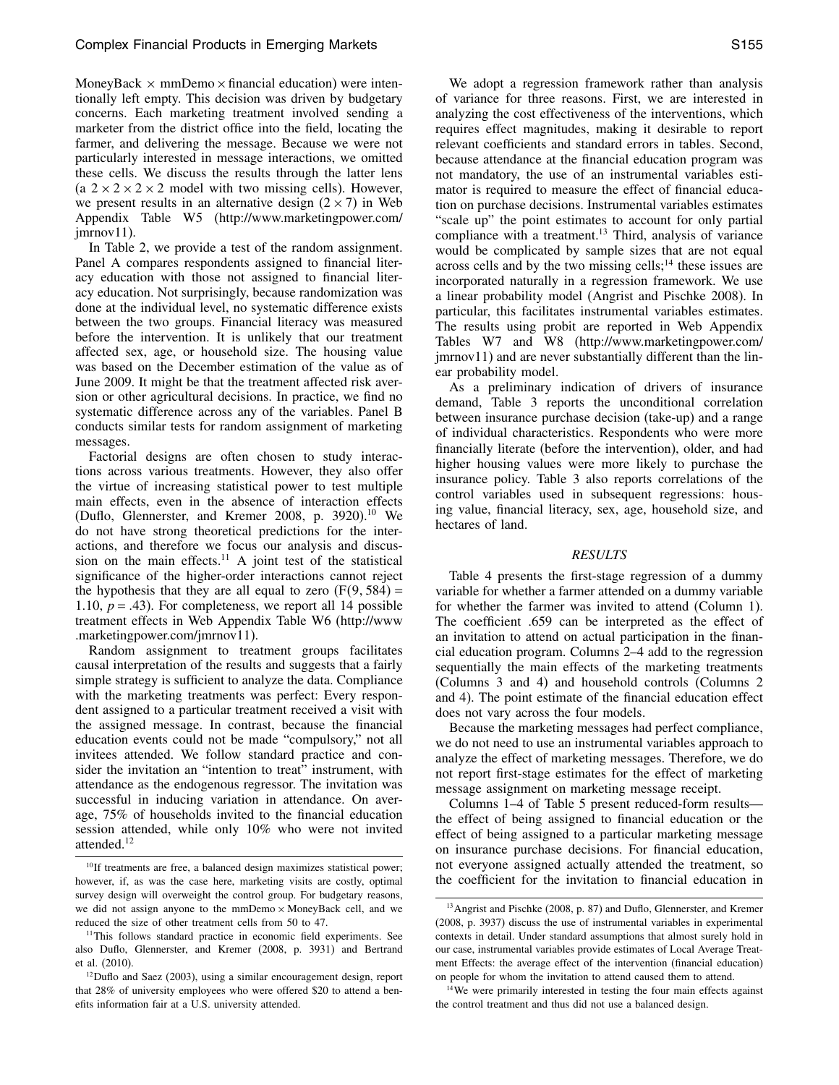MoneyBack  $\times$  mmDemo $\times$  financial education) were intentionally left empty. This decision was driven by budgetary concerns. Each marketing treatment involved sending a marketer from the district office into the field, locating the farmer, and delivering the message. Because we were not particularly interested in message interactions, we omitted these cells. We discuss the results through the latter lens (a  $2 \times 2 \times 2 \times 2$  model with two missing cells). However, we present results in an alternative design  $(2 \times 7)$  in Web Appendix Table W5 (http://www.marketingpower.com/ jmrnov11).

In Table 2, we provide a test of the random assignment. Panel A compares respondents assigned to financial literacy education with those not assigned to financial literacy education. Not surprisingly, because randomization was done at the individual level, no systematic difference exists between the two groups. Financial literacy was measured before the intervention. It is unlikely that our treatment affected sex, age, or household size. The housing value was based on the December estimation of the value as of June 2009. It might be that the treatment affected risk aversion or other agricultural decisions. In practice, we find no systematic difference across any of the variables. Panel B conducts similar tests for random assignment of marketing messages.

Factorial designs are often chosen to study interactions across various treatments. However, they also offer the virtue of increasing statistical power to test multiple main effects, even in the absence of interaction effects (Duflo, Glennerster, and Kremer 2008, p. 3920).<sup>10</sup> We do not have strong theoretical predictions for the interactions, and therefore we focus our analysis and discussion on the main effects.<sup>11</sup> A joint test of the statistical significance of the higher-order interactions cannot reject the hypothesis that they are all equal to zero  $(F(9, 584) =$ 1.10,  $p = .43$ ). For completeness, we report all 14 possible treatment effects in Web Appendix Table W6 (http://www .marketingpower.com/jmrnov11).

Random assignment to treatment groups facilitates causal interpretation of the results and suggests that a fairly simple strategy is sufficient to analyze the data. Compliance with the marketing treatments was perfect: Every respondent assigned to a particular treatment received a visit with the assigned message. In contrast, because the financial education events could not be made "compulsory," not all invitees attended. We follow standard practice and consider the invitation an "intention to treat" instrument, with attendance as the endogenous regressor. The invitation was successful in inducing variation in attendance. On average, 75% of households invited to the financial education session attended, while only 10% who were not invited attended.<sup>12</sup>

We adopt a regression framework rather than analysis of variance for three reasons. First, we are interested in analyzing the cost effectiveness of the interventions, which requires effect magnitudes, making it desirable to report relevant coefficients and standard errors in tables. Second, because attendance at the financial education program was not mandatory, the use of an instrumental variables estimator is required to measure the effect of financial education on purchase decisions. Instrumental variables estimates "scale up" the point estimates to account for only partial compliance with a treatment.<sup>13</sup> Third, analysis of variance would be complicated by sample sizes that are not equal across cells and by the two missing cells; $<sup>14</sup>$  these issues are</sup> incorporated naturally in a regression framework. We use a linear probability model (Angrist and Pischke 2008). In particular, this facilitates instrumental variables estimates. The results using probit are reported in Web Appendix Tables W7 and W8 (http://www.marketingpower.com/ jmrnov11) and are never substantially different than the linear probability model.

As a preliminary indication of drivers of insurance demand, Table 3 reports the unconditional correlation between insurance purchase decision (take-up) and a range of individual characteristics. Respondents who were more financially literate (before the intervention), older, and had higher housing values were more likely to purchase the insurance policy. Table 3 also reports correlations of the control variables used in subsequent regressions: housing value, financial literacy, sex, age, household size, and hectares of land.

#### RESULTS

Table 4 presents the first-stage regression of a dummy variable for whether a farmer attended on a dummy variable for whether the farmer was invited to attend (Column 1). The coefficient .659 can be interpreted as the effect of an invitation to attend on actual participation in the financial education program. Columns 2–4 add to the regression sequentially the main effects of the marketing treatments (Columns 3 and 4) and household controls (Columns 2 and 4). The point estimate of the financial education effect does not vary across the four models.

Because the marketing messages had perfect compliance, we do not need to use an instrumental variables approach to analyze the effect of marketing messages. Therefore, we do not report first-stage estimates for the effect of marketing message assignment on marketing message receipt.

Columns 1–4 of Table 5 present reduced-form results the effect of being assigned to financial education or the effect of being assigned to a particular marketing message on insurance purchase decisions. For financial education, not everyone assigned actually attended the treatment, so the coefficient for the invitation to financial education in

<sup>&</sup>lt;sup>10</sup>If treatments are free, a balanced design maximizes statistical power; however, if, as was the case here, marketing visits are costly, optimal survey design will overweight the control group. For budgetary reasons, we did not assign anyone to the mmDemo  $\times$  MoneyBack cell, and we reduced the size of other treatment cells from 50 to 47.

<sup>&</sup>lt;sup>11</sup>This follows standard practice in economic field experiments. See also Duflo, Glennerster, and Kremer (2008, p. 3931) and Bertrand et al. (2010).

 $12$ Duflo and Saez (2003), using a similar encouragement design, report that 28% of university employees who were offered \$20 to attend a benefits information fair at a U.S. university attended.

<sup>&</sup>lt;sup>13</sup> Angrist and Pischke (2008, p. 87) and Duflo, Glennerster, and Kremer (2008, p. 3937) discuss the use of instrumental variables in experimental contexts in detail. Under standard assumptions that almost surely hold in our case, instrumental variables provide estimates of Local Average Treatment Effects: the average effect of the intervention (financial education) on people for whom the invitation to attend caused them to attend.

<sup>14</sup>We were primarily interested in testing the four main effects against the control treatment and thus did not use a balanced design.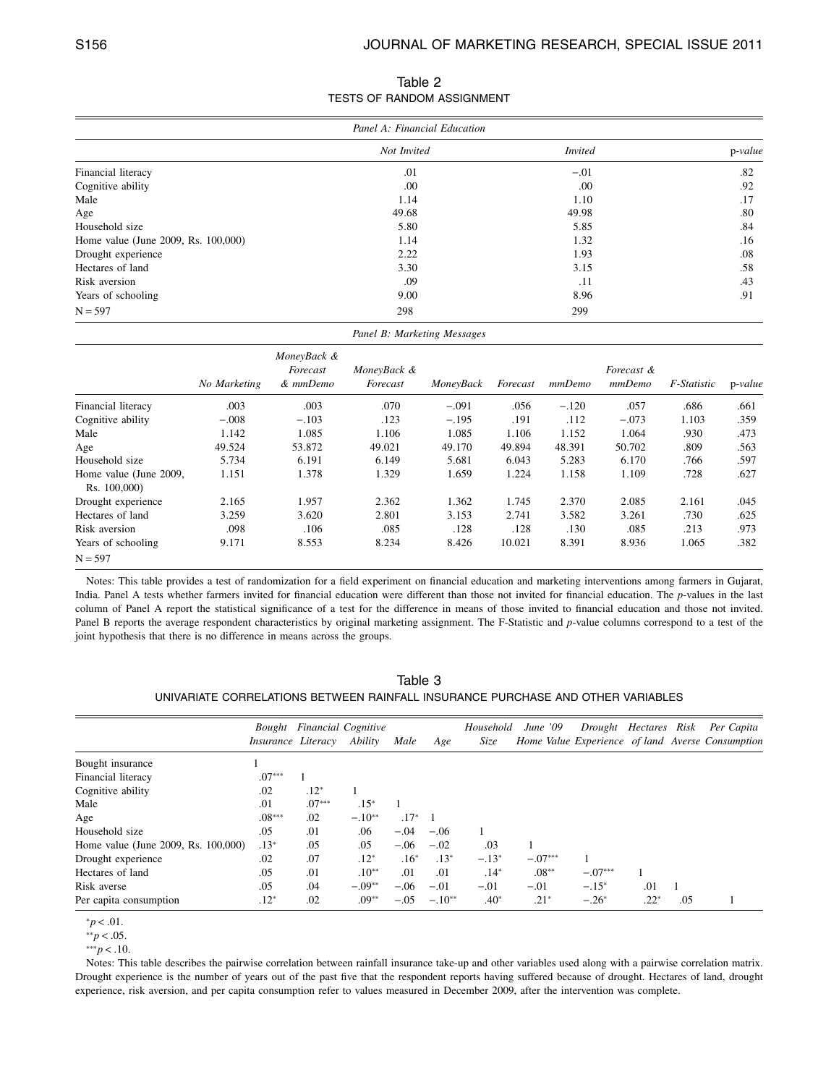Table 2 TESTS OF RANDOM ASSIGNMENT

| Panel A: Financial Education        |             |                |         |  |  |  |  |  |
|-------------------------------------|-------------|----------------|---------|--|--|--|--|--|
|                                     | Not Invited | <b>Invited</b> | p-value |  |  |  |  |  |
| Financial literacy                  | .01         | $-.01$         | .82     |  |  |  |  |  |
| Cognitive ability                   | .00         | .00            | .92     |  |  |  |  |  |
| Male                                | 1.14        | 1.10           | .17     |  |  |  |  |  |
| Age                                 | 49.68       | 49.98          | .80     |  |  |  |  |  |
| Household size                      | 5.80        | 5.85           | .84     |  |  |  |  |  |
| Home value (June 2009, Rs. 100,000) | 1.14        | 1.32           | .16     |  |  |  |  |  |
| Drought experience                  | 2.22        | 1.93           | .08     |  |  |  |  |  |
| Hectares of land                    | 3.30        | 3.15           | .58     |  |  |  |  |  |
| Risk aversion                       | .09         | .11            | .43     |  |  |  |  |  |
| Years of schooling                  | 9.00        | 8.96           | .91     |  |  |  |  |  |
| $N = 597$                           | 298         | 299            |         |  |  |  |  |  |

#### Panel B: Marketing Messages

|                                        |              | MoneyBack & |             |           |          |         |            |             |           |
|----------------------------------------|--------------|-------------|-------------|-----------|----------|---------|------------|-------------|-----------|
|                                        |              | Forecast    | MoneyBack & |           |          |         | Forecast & |             |           |
|                                        | No Marketing | & mmDemo    | Forecast    | MoneyBack | Forecast | mmDemo  | mmDemo     | F-Statistic | $p-value$ |
| Financial literacy                     | .003         | .003        | .070        | $-.091$   | .056     | $-.120$ | .057       | .686        | .661      |
| Cognitive ability                      | $-.008$      | $-.103$     | .123        | $-.195$   | .191     | .112    | $-.073$    | 1.103       | .359      |
| Male                                   | 1.142        | 1.085       | 1.106       | 1.085     | 1.106    | 1.152   | 1.064      | .930        | .473      |
| Age                                    | 49.524       | 53.872      | 49.021      | 49.170    | 49.894   | 48.391  | 50.702     | .809        | .563      |
| Household size                         | 5.734        | 6.191       | 6.149       | 5.681     | 6.043    | 5.283   | 6.170      | .766        | .597      |
| Home value (June 2009,<br>Rs. 100,000) | 1.151        | 1.378       | 1.329       | 1.659     | 1.224    | 1.158   | 1.109      | .728        | .627      |
| Drought experience                     | 2.165        | 1.957       | 2.362       | 1.362     | 1.745    | 2.370   | 2.085      | 2.161       | .045      |
| Hectares of land                       | 3.259        | 3.620       | 2.801       | 3.153     | 2.741    | 3.582   | 3.261      | .730        | .625      |
| Risk aversion                          | .098         | .106        | .085        | .128      | .128     | .130    | .085       | .213        | .973      |
| Years of schooling                     | 9.171        | 8.553       | 8.234       | 8.426     | 10.021   | 8.391   | 8.936      | 1.065       | .382      |
| $N = 597$                              |              |             |             |           |          |         |            |             |           |

Notes: This table provides a test of randomization for a field experiment on financial education and marketing interventions among farmers in Gujarat, India. Panel A tests whether farmers invited for financial education were different than those not invited for financial education. The p-values in the last column of Panel A report the statistical significance of a test for the difference in means of those invited to financial education and those not invited. Panel B reports the average respondent characteristics by original marketing assignment. The F-Statistic and p-value columns correspond to a test of the joint hypothesis that there is no difference in means across the groups.

| Table 3                                                                         |
|---------------------------------------------------------------------------------|
| UNIVARIATE CORRELATIONS BETWEEN RAINFALL INSURANCE PURCHASE AND OTHER VARIABLES |

|                                     | Insurance Literacy |          | <b>Bought</b> Financial Cognitive<br>Ability | Male   | Age      | Household<br>Size | June $'09$ | Drought Hectares Risk |        |     | Per Capita<br>Home Value Experience of land Averse Consumption |
|-------------------------------------|--------------------|----------|----------------------------------------------|--------|----------|-------------------|------------|-----------------------|--------|-----|----------------------------------------------------------------|
| Bought insurance                    |                    |          |                                              |        |          |                   |            |                       |        |     |                                                                |
| Financial literacy                  | $.07***$           |          |                                              |        |          |                   |            |                       |        |     |                                                                |
| Cognitive ability                   | .02                | $.12*$   |                                              |        |          |                   |            |                       |        |     |                                                                |
| Male                                | .01                | $.07***$ | $.15*$                                       |        |          |                   |            |                       |        |     |                                                                |
| Age                                 | $.08***$           | .02      | $-.10**$                                     | $.17*$ | - 1      |                   |            |                       |        |     |                                                                |
| Household size                      | .05                | .01      | .06                                          | $-.04$ | $-.06$   |                   |            |                       |        |     |                                                                |
| Home value (June 2009, Rs. 100,000) | $.13*$             | .05      | .05                                          | $-.06$ | $-.02$   | .03               |            |                       |        |     |                                                                |
| Drought experience                  | .02                | .07      | $.12*$                                       | $.16*$ | $.13*$   | $-.13*$           | $-.07***$  |                       |        |     |                                                                |
| Hectares of land                    | .05                | .01      | $.10**$                                      | .01    | .01      | $.14*$            | $.08**$    | $-.07***$             |        |     |                                                                |
| Risk averse                         | .05                | .04      | $-.09**$                                     | $-.06$ | $-.01$   | $-.01$            | $-.01$     | $-.15*$               | .01    |     |                                                                |
| Per capita consumption              | $.12*$             | .02      | $.09**$                                      | $-.05$ | $-.10**$ | $.40*$            | $.21*$     | $-.26*$               | $.22*$ | .05 |                                                                |

 $<sup>∗</sup>p < .01.$ </sup>

 $*$ <sup>\*</sup>*p* < .05.

 $***p < .10.$ 

Notes: This table describes the pairwise correlation between rainfall insurance take-up and other variables used along with a pairwise correlation matrix. Drought experience is the number of years out of the past five that the respondent reports having suffered because of drought. Hectares of land, drought experience, risk aversion, and per capita consumption refer to values measured in December 2009, after the intervention was complete.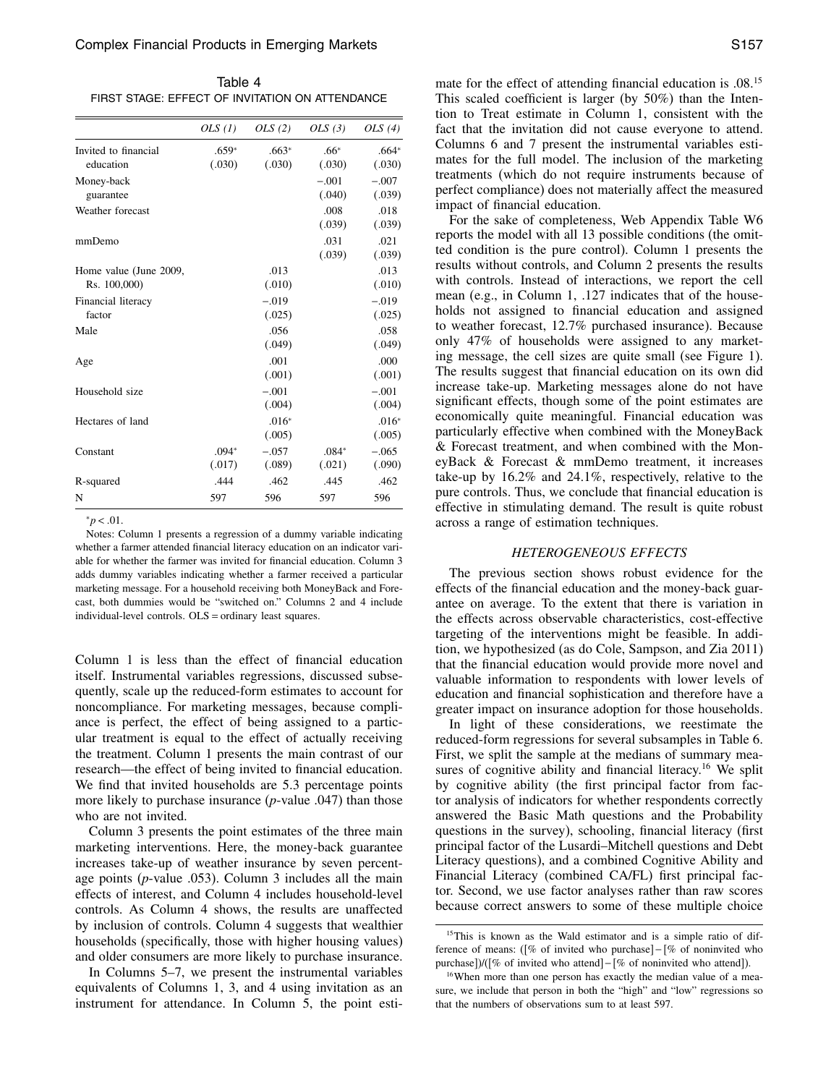Table 4 FIRST STAGE: EFFECT OF INVITATION ON ATTENDANCE

|         |         |         | OLS $(4)$ |
|---------|---------|---------|-----------|
| $.659*$ | $.663*$ | $.66*$  | $.664*$   |
| (.030)  | (.030)  | (.030)  | (.030)    |
|         |         | $-.001$ | $-.007$   |
|         |         | (.040)  | (.039)    |
|         |         | .008    | .018      |
|         |         | (.039)  | (.039)    |
|         |         | .031    | .021      |
|         |         | (.039)  | (.039)    |
|         | .013    |         | .013      |
|         | (.010)  |         | (.010)    |
|         | $-.019$ |         | $-.019$   |
|         | (.025)  |         | (.025)    |
|         | .056    |         | .058      |
|         | (.049)  |         | (.049)    |
|         | .001    |         | .000      |
|         | (.001)  |         | (.001)    |
|         | $-.001$ |         | $-.001$   |
|         | (.004)  |         | (.004)    |
|         | $.016*$ |         | $.016*$   |
|         | (.005)  |         | (.005)    |
| $.094*$ | $-.057$ | $.084*$ | $-.065$   |
| (.017)  | (.089)  | (.021)  | (.090)    |
| .444    | .462    | .445    | .462      |
| 597     | 596     | 597     | 596       |
|         | OLS (1) | OLS(2)  | OLS(3)    |

 $<sup>∗</sup>p < .01.$ </sup>

Notes: Column 1 presents a regression of a dummy variable indicating whether a farmer attended financial literacy education on an indicator variable for whether the farmer was invited for financial education. Column 3 adds dummy variables indicating whether a farmer received a particular marketing message. For a household receiving both MoneyBack and Forecast, both dummies would be "switched on." Columns 2 and 4 include individual-level controls. OLS = ordinary least squares.

Column 1 is less than the effect of financial education itself. Instrumental variables regressions, discussed subsequently, scale up the reduced-form estimates to account for noncompliance. For marketing messages, because compliance is perfect, the effect of being assigned to a particular treatment is equal to the effect of actually receiving the treatment. Column 1 presents the main contrast of our research—the effect of being invited to financial education. We find that invited households are 5.3 percentage points more likely to purchase insurance  $(p$ -value .047) than those who are not invited.

Column 3 presents the point estimates of the three main marketing interventions. Here, the money-back guarantee increases take-up of weather insurance by seven percentage points (p-value .053). Column 3 includes all the main effects of interest, and Column 4 includes household-level controls. As Column 4 shows, the results are unaffected by inclusion of controls. Column 4 suggests that wealthier households (specifically, those with higher housing values) and older consumers are more likely to purchase insurance.

In Columns 5–7, we present the instrumental variables equivalents of Columns 1, 3, and 4 using invitation as an instrument for attendance. In Column 5, the point estimate for the effect of attending financial education is .08.<sup>15</sup> This scaled coefficient is larger (by 50%) than the Intention to Treat estimate in Column 1, consistent with the fact that the invitation did not cause everyone to attend. Columns 6 and 7 present the instrumental variables estimates for the full model. The inclusion of the marketing treatments (which do not require instruments because of perfect compliance) does not materially affect the measured impact of financial education.

For the sake of completeness, Web Appendix Table W6 reports the model with all 13 possible conditions (the omitted condition is the pure control). Column 1 presents the results without controls, and Column 2 presents the results with controls. Instead of interactions, we report the cell mean (e.g., in Column 1, .127 indicates that of the households not assigned to financial education and assigned to weather forecast, 12.7% purchased insurance). Because only 47% of households were assigned to any marketing message, the cell sizes are quite small (see Figure 1). The results suggest that financial education on its own did increase take-up. Marketing messages alone do not have significant effects, though some of the point estimates are economically quite meaningful. Financial education was particularly effective when combined with the MoneyBack & Forecast treatment, and when combined with the MoneyBack & Forecast & mmDemo treatment, it increases take-up by 16.2% and 24.1%, respectively, relative to the pure controls. Thus, we conclude that financial education is effective in stimulating demand. The result is quite robust across a range of estimation techniques.

#### HETEROGENEOUS EFFECTS

The previous section shows robust evidence for the effects of the financial education and the money-back guarantee on average. To the extent that there is variation in the effects across observable characteristics, cost-effective targeting of the interventions might be feasible. In addition, we hypothesized (as do Cole, Sampson, and Zia 2011) that the financial education would provide more novel and valuable information to respondents with lower levels of education and financial sophistication and therefore have a greater impact on insurance adoption for those households.

In light of these considerations, we reestimate the reduced-form regressions for several subsamples in Table 6. First, we split the sample at the medians of summary measures of cognitive ability and financial literacy.<sup>16</sup> We split by cognitive ability (the first principal factor from factor analysis of indicators for whether respondents correctly answered the Basic Math questions and the Probability questions in the survey), schooling, financial literacy (first principal factor of the Lusardi–Mitchell questions and Debt Literacy questions), and a combined Cognitive Ability and Financial Literacy (combined CA/FL) first principal factor. Second, we use factor analyses rather than raw scores because correct answers to some of these multiple choice

<sup>&</sup>lt;sup>15</sup>This is known as the Wald estimator and is a simple ratio of difference of means: ([% of invited who purchase] − [% of noninvited who purchase])/([% of invited who attend] – [% of noninvited who attend]).

<sup>16</sup>When more than one person has exactly the median value of a measure, we include that person in both the "high" and "low" regressions so that the numbers of observations sum to at least 597.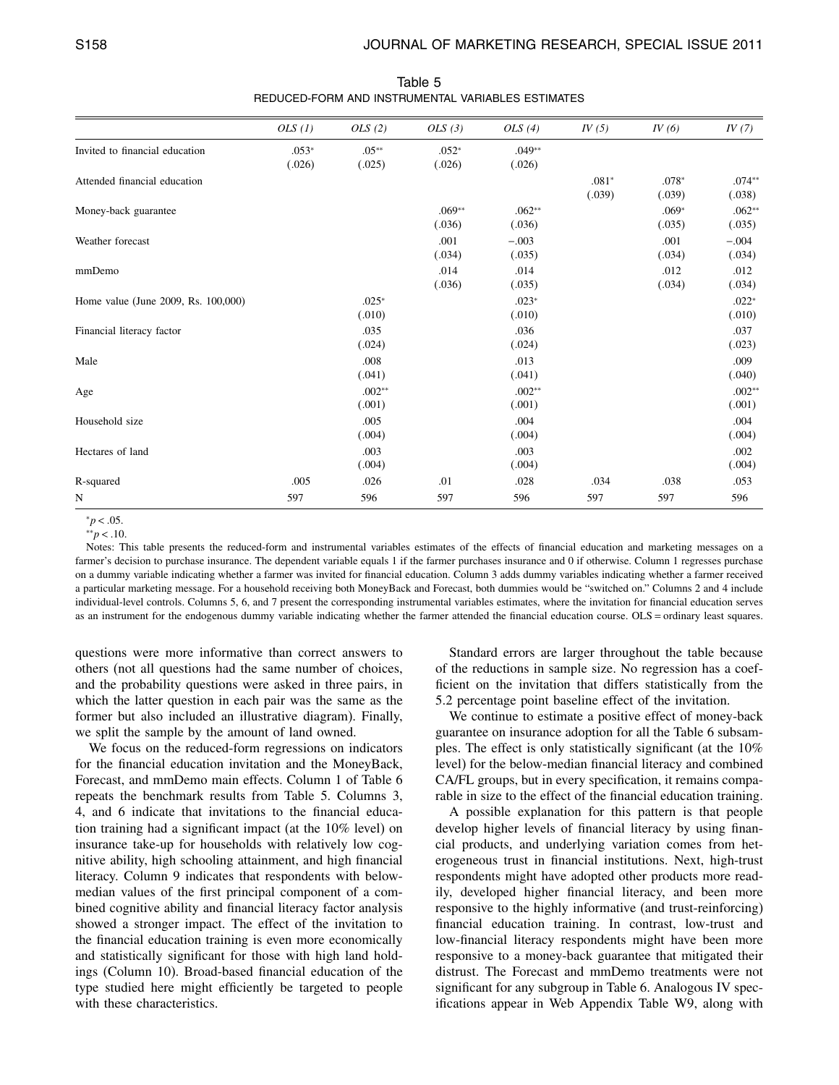|                                     | OLS (1)           | OLS(2)             | OLS(3)             | OLS(4)             | IV(5)             | IV(6)             | IV(7)              |
|-------------------------------------|-------------------|--------------------|--------------------|--------------------|-------------------|-------------------|--------------------|
| Invited to financial education      | $.053*$<br>(.026) | $.05**$<br>(.025)  | $.052*$<br>(.026)  | $.049**$<br>(.026) |                   |                   |                    |
| Attended financial education        |                   |                    |                    |                    | $.081*$<br>(.039) | $.078*$<br>(.039) | $.074**$<br>(.038) |
| Money-back guarantee                |                   |                    | $.069**$<br>(.036) | $.062**$<br>(.036) |                   | $.069*$<br>(.035) | $.062**$<br>(.035) |
| Weather forecast                    |                   |                    | .001<br>(.034)     | $-.003$<br>(.035)  |                   | .001<br>(.034)    | $-.004$<br>(.034)  |
| mmDemo                              |                   |                    | .014<br>(.036)     | .014<br>(.035)     |                   | .012<br>(.034)    | .012<br>(.034)     |
| Home value (June 2009, Rs. 100,000) |                   | $.025*$<br>(.010)  |                    | $.023*$<br>(.010)  |                   |                   | $.022*$<br>(.010)  |
| Financial literacy factor           |                   | .035<br>(.024)     |                    | .036<br>(.024)     |                   |                   | .037<br>(.023)     |
| Male                                |                   | .008<br>(.041)     |                    | .013<br>(.041)     |                   |                   | .009<br>(.040)     |
| Age                                 |                   | $.002**$<br>(.001) |                    | $.002**$<br>(.001) |                   |                   | $.002**$<br>(.001) |
| Household size                      |                   | .005<br>(.004)     |                    | .004<br>(.004)     |                   |                   | .004<br>(.004)     |
| Hectares of land                    |                   | .003<br>(.004)     |                    | .003<br>(.004)     |                   |                   | .002<br>(.004)     |
| R-squared                           | .005              | .026               | .01                | .028               | .034              | .038              | .053               |
| N                                   | 597               | 596                | 597                | 596                | 597               | 597               | 596                |

Table 5 REDUCED-FORM AND INSTRUMENTAL VARIABLES ESTIMATES

 $$ 

 $*$ <sup>\*</sup>*p* < .10.

Notes: This table presents the reduced-form and instrumental variables estimates of the effects of financial education and marketing messages on a farmer's decision to purchase insurance. The dependent variable equals 1 if the farmer purchases insurance and 0 if otherwise. Column 1 regresses purchase on a dummy variable indicating whether a farmer was invited for financial education. Column 3 adds dummy variables indicating whether a farmer received a particular marketing message. For a household receiving both MoneyBack and Forecast, both dummies would be "switched on." Columns 2 and 4 include individual-level controls. Columns 5, 6, and 7 present the corresponding instrumental variables estimates, where the invitation for financial education serves as an instrument for the endogenous dummy variable indicating whether the farmer attended the financial education course. OLS = ordinary least squares.

questions were more informative than correct answers to others (not all questions had the same number of choices, and the probability questions were asked in three pairs, in which the latter question in each pair was the same as the former but also included an illustrative diagram). Finally, we split the sample by the amount of land owned.

We focus on the reduced-form regressions on indicators for the financial education invitation and the MoneyBack, Forecast, and mmDemo main effects. Column 1 of Table 6 repeats the benchmark results from Table 5. Columns 3, 4, and 6 indicate that invitations to the financial education training had a significant impact (at the 10% level) on insurance take-up for households with relatively low cognitive ability, high schooling attainment, and high financial literacy. Column 9 indicates that respondents with belowmedian values of the first principal component of a combined cognitive ability and financial literacy factor analysis showed a stronger impact. The effect of the invitation to the financial education training is even more economically and statistically significant for those with high land holdings (Column 10). Broad-based financial education of the type studied here might efficiently be targeted to people with these characteristics.

Standard errors are larger throughout the table because of the reductions in sample size. No regression has a coefficient on the invitation that differs statistically from the 5.2 percentage point baseline effect of the invitation.

We continue to estimate a positive effect of money-back guarantee on insurance adoption for all the Table 6 subsamples. The effect is only statistically significant (at the 10% level) for the below-median financial literacy and combined CA/FL groups, but in every specification, it remains comparable in size to the effect of the financial education training.

A possible explanation for this pattern is that people develop higher levels of financial literacy by using financial products, and underlying variation comes from heterogeneous trust in financial institutions. Next, high-trust respondents might have adopted other products more readily, developed higher financial literacy, and been more responsive to the highly informative (and trust-reinforcing) financial education training. In contrast, low-trust and low-financial literacy respondents might have been more responsive to a money-back guarantee that mitigated their distrust. The Forecast and mmDemo treatments were not significant for any subgroup in Table 6. Analogous IV specifications appear in Web Appendix Table W9, along with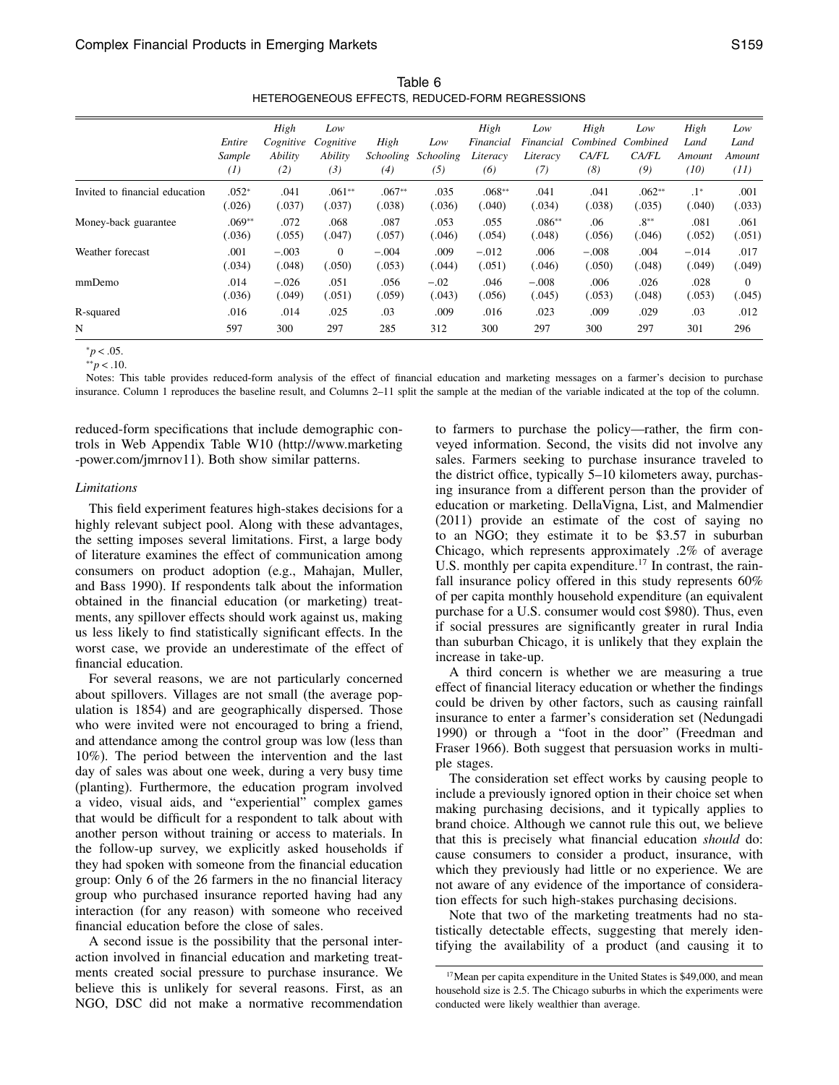| TIETENUGENEUUS EFFEUTS, NEDUUED-FUNIII NEGNESSIUNS |                         |                                     |                                    |                          |                                |                                      |                                     |                                         |                                        |                                |                               |
|----------------------------------------------------|-------------------------|-------------------------------------|------------------------------------|--------------------------|--------------------------------|--------------------------------------|-------------------------------------|-----------------------------------------|----------------------------------------|--------------------------------|-------------------------------|
|                                                    | Entire<br>Sample<br>(1) | High<br>Cognitive<br>Ability<br>(2) | Low<br>Cognitive<br>Ability<br>(3) | High<br>Schooling<br>(4) | Low<br><b>Schooling</b><br>(5) | High<br>Financial<br>Literacy<br>(6) | Low<br>Financial<br>Literacy<br>(7) | High<br>Combined<br><i>CA/FL</i><br>(8) | Low<br>Combined<br><i>CA/FL</i><br>(9) | High<br>Land<br>Amount<br>(10) | Low<br>Land<br>Amount<br>(11) |
| Invited to financial education                     | $.052*$                 | .041                                | $.061**$                           | $.067**$                 | .035                           | $.068**$                             | .041                                | .041                                    | $.062**$                               | $.1*$                          | .001                          |
|                                                    | (.026)                  | (.037)                              | (.037)                             | (.038)                   | (.036)                         | (.040)                               | (.034)                              | (.038)                                  | (.035)                                 | (.040)                         | (.033)                        |
| Money-back guarantee                               | $.069**$                | .072                                | .068                               | .087                     | .053                           | .055                                 | $.086**$                            | .06                                     | $.8**$                                 | .081                           | .061                          |
|                                                    | (.036)                  | (.055)                              | (.047)                             | (.057)                   | (.046)                         | (.054)                               | (.048)                              | (.056)                                  | (.046)                                 | (.052)                         | (.051)                        |
| Weather forecast                                   | .001                    | $-.003$                             | $\Omega$                           | $-.004$                  | .009                           | $-.012$                              | .006                                | $-.008$                                 | .004                                   | $-.014$                        | .017                          |
|                                                    | (.034)                  | (.048)                              | (.050)                             | (.053)                   | (.044)                         | (.051)                               | (.046)                              | (.050)                                  | (.048)                                 | (.049)                         | (.049)                        |
| mmDemo                                             | .014                    | $-.026$                             | .051                               | .056                     | $-.02$                         | .046                                 | $-.008$                             | .006                                    | .026                                   | .028                           | $\Omega$                      |
|                                                    | (.036)                  | (.049)                              | (.051)                             | (.059)                   | (.043)                         | (.056)                               | (.045)                              | (.053)                                  | (.048)                                 | (.053)                         | (.045)                        |
| R-squared                                          | .016                    | .014                                | .025                               | .03                      | .009                           | .016                                 | .023                                | .009                                    | .029                                   | .03                            | .012                          |
| N                                                  | 597                     | 300                                 | 297                                | 285                      | 312                            | 300                                  | 297                                 | 300                                     | 297                                    | 301                            | 296                           |

Table 6 HETEROGENEOUS EFFECTS, REDUCED FORM REGRESSIONS

*\*p* $< .05.$ 

 $*$ <sup>\*</sup>*p* < .10.

Notes: This table provides reduced-form analysis of the effect of financial education and marketing messages on a farmer's decision to purchase insurance. Column 1 reproduces the baseline result, and Columns 2–11 split the sample at the median of the variable indicated at the top of the column.

reduced-form specifications that include demographic controls in Web Appendix Table W10 (http://www.marketing -power.com/jmrnov11). Both show similar patterns.

#### Limitations

This field experiment features high-stakes decisions for a highly relevant subject pool. Along with these advantages, the setting imposes several limitations. First, a large body of literature examines the effect of communication among consumers on product adoption (e.g., Mahajan, Muller, and Bass 1990). If respondents talk about the information obtained in the financial education (or marketing) treatments, any spillover effects should work against us, making us less likely to find statistically significant effects. In the worst case, we provide an underestimate of the effect of financial education.

For several reasons, we are not particularly concerned about spillovers. Villages are not small (the average population is 1854) and are geographically dispersed. Those who were invited were not encouraged to bring a friend, and attendance among the control group was low (less than 10%). The period between the intervention and the last day of sales was about one week, during a very busy time (planting). Furthermore, the education program involved a video, visual aids, and "experiential" complex games that would be difficult for a respondent to talk about with another person without training or access to materials. In the follow-up survey, we explicitly asked households if they had spoken with someone from the financial education group: Only 6 of the 26 farmers in the no financial literacy group who purchased insurance reported having had any interaction (for any reason) with someone who received financial education before the close of sales.

A second issue is the possibility that the personal interaction involved in financial education and marketing treatments created social pressure to purchase insurance. We believe this is unlikely for several reasons. First, as an NGO, DSC did not make a normative recommendation to farmers to purchase the policy—rather, the firm conveyed information. Second, the visits did not involve any sales. Farmers seeking to purchase insurance traveled to the district office, typically 5–10 kilometers away, purchasing insurance from a different person than the provider of education or marketing. DellaVigna, List, and Malmendier (2011) provide an estimate of the cost of saying no to an NGO; they estimate it to be \$3.57 in suburban Chicago, which represents approximately .2% of average U.S. monthly per capita expenditure.<sup>17</sup> In contrast, the rainfall insurance policy offered in this study represents 60% of per capita monthly household expenditure (an equivalent purchase for a U.S. consumer would cost \$980). Thus, even if social pressures are significantly greater in rural India than suburban Chicago, it is unlikely that they explain the increase in take-up.

A third concern is whether we are measuring a true effect of financial literacy education or whether the findings could be driven by other factors, such as causing rainfall insurance to enter a farmer's consideration set (Nedungadi 1990) or through a "foot in the door" (Freedman and Fraser 1966). Both suggest that persuasion works in multiple stages.

The consideration set effect works by causing people to include a previously ignored option in their choice set when making purchasing decisions, and it typically applies to brand choice. Although we cannot rule this out, we believe that this is precisely what financial education should do: cause consumers to consider a product, insurance, with which they previously had little or no experience. We are not aware of any evidence of the importance of consideration effects for such high-stakes purchasing decisions.

Note that two of the marketing treatments had no statistically detectable effects, suggesting that merely identifying the availability of a product (and causing it to

<sup>&</sup>lt;sup>17</sup>Mean per capita expenditure in the United States is \$49,000, and mean household size is 2.5. The Chicago suburbs in which the experiments were conducted were likely wealthier than average.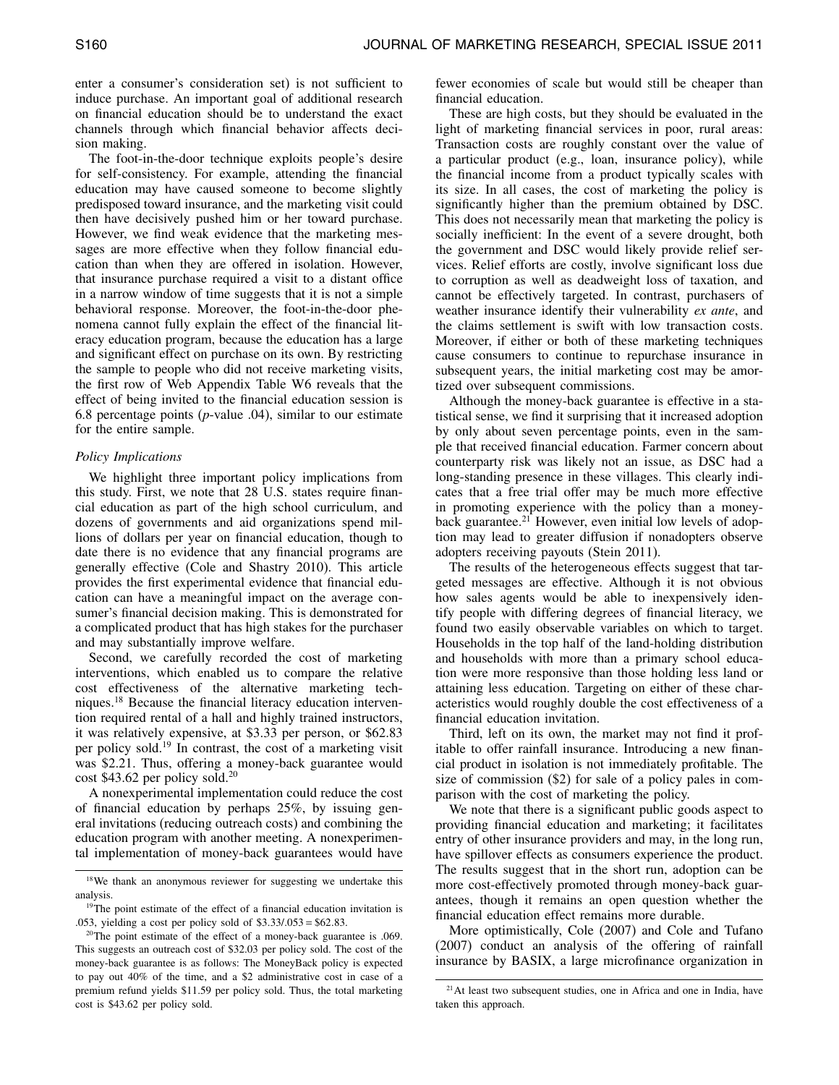enter a consumer's consideration set) is not sufficient to induce purchase. An important goal of additional research on financial education should be to understand the exact channels through which financial behavior affects decision making.

The foot-in-the-door technique exploits people's desire for self-consistency. For example, attending the financial education may have caused someone to become slightly predisposed toward insurance, and the marketing visit could then have decisively pushed him or her toward purchase. However, we find weak evidence that the marketing messages are more effective when they follow financial education than when they are offered in isolation. However, that insurance purchase required a visit to a distant office in a narrow window of time suggests that it is not a simple behavioral response. Moreover, the foot-in-the-door phenomena cannot fully explain the effect of the financial literacy education program, because the education has a large and significant effect on purchase on its own. By restricting the sample to people who did not receive marketing visits, the first row of Web Appendix Table W6 reveals that the effect of being invited to the financial education session is 6.8 percentage points  $(p$ -value .04), similar to our estimate for the entire sample.

#### Policy Implications

We highlight three important policy implications from this study. First, we note that 28 U.S. states require financial education as part of the high school curriculum, and dozens of governments and aid organizations spend millions of dollars per year on financial education, though to date there is no evidence that any financial programs are generally effective (Cole and Shastry 2010). This article provides the first experimental evidence that financial education can have a meaningful impact on the average consumer's financial decision making. This is demonstrated for a complicated product that has high stakes for the purchaser and may substantially improve welfare.

Second, we carefully recorded the cost of marketing interventions, which enabled us to compare the relative cost effectiveness of the alternative marketing techniques.<sup>18</sup> Because the financial literacy education intervention required rental of a hall and highly trained instructors, it was relatively expensive, at \$3.33 per person, or \$62.83 per policy sold.<sup>19</sup> In contrast, the cost of a marketing visit was \$2.21. Thus, offering a money-back guarantee would cost \$43.62 per policy sold.<sup>20</sup>

A nonexperimental implementation could reduce the cost of financial education by perhaps 25%, by issuing general invitations (reducing outreach costs) and combining the education program with another meeting. A nonexperimental implementation of money-back guarantees would have

fewer economies of scale but would still be cheaper than financial education.

These are high costs, but they should be evaluated in the light of marketing financial services in poor, rural areas: Transaction costs are roughly constant over the value of a particular product (e.g., loan, insurance policy), while the financial income from a product typically scales with its size. In all cases, the cost of marketing the policy is significantly higher than the premium obtained by DSC. This does not necessarily mean that marketing the policy is socially inefficient: In the event of a severe drought, both the government and DSC would likely provide relief services. Relief efforts are costly, involve significant loss due to corruption as well as deadweight loss of taxation, and cannot be effectively targeted. In contrast, purchasers of weather insurance identify their vulnerability ex ante, and the claims settlement is swift with low transaction costs. Moreover, if either or both of these marketing techniques cause consumers to continue to repurchase insurance in subsequent years, the initial marketing cost may be amortized over subsequent commissions.

Although the money-back guarantee is effective in a statistical sense, we find it surprising that it increased adoption by only about seven percentage points, even in the sample that received financial education. Farmer concern about counterparty risk was likely not an issue, as DSC had a long-standing presence in these villages. This clearly indicates that a free trial offer may be much more effective in promoting experience with the policy than a moneyback guarantee. $^{21}$  However, even initial low levels of adoption may lead to greater diffusion if nonadopters observe adopters receiving payouts (Stein 2011).

The results of the heterogeneous effects suggest that targeted messages are effective. Although it is not obvious how sales agents would be able to inexpensively identify people with differing degrees of financial literacy, we found two easily observable variables on which to target. Households in the top half of the land-holding distribution and households with more than a primary school education were more responsive than those holding less land or attaining less education. Targeting on either of these characteristics would roughly double the cost effectiveness of a financial education invitation.

Third, left on its own, the market may not find it profitable to offer rainfall insurance. Introducing a new financial product in isolation is not immediately profitable. The size of commission (\$2) for sale of a policy pales in comparison with the cost of marketing the policy.

We note that there is a significant public goods aspect to providing financial education and marketing; it facilitates entry of other insurance providers and may, in the long run, have spillover effects as consumers experience the product. The results suggest that in the short run, adoption can be more cost-effectively promoted through money-back guarantees, though it remains an open question whether the financial education effect remains more durable.

More optimistically, Cole (2007) and Cole and Tufano (2007) conduct an analysis of the offering of rainfall insurance by BASIX, a large microfinance organization in

<sup>&</sup>lt;sup>18</sup>We thank an anonymous reviewer for suggesting we undertake this analysis.

<sup>&</sup>lt;sup>19</sup>The point estimate of the effect of a financial education invitation is .053, yielding a cost per policy sold of  $$3.33/053 = $62.83$ .

 $20$ The point estimate of the effect of a money-back guarantee is .069. This suggests an outreach cost of \$32.03 per policy sold. The cost of the money-back guarantee is as follows: The MoneyBack policy is expected to pay out 40% of the time, and a \$2 administrative cost in case of a premium refund yields \$11.59 per policy sold. Thus, the total marketing cost is \$43.62 per policy sold.

<sup>&</sup>lt;sup>21</sup>At least two subsequent studies, one in Africa and one in India, have taken this approach.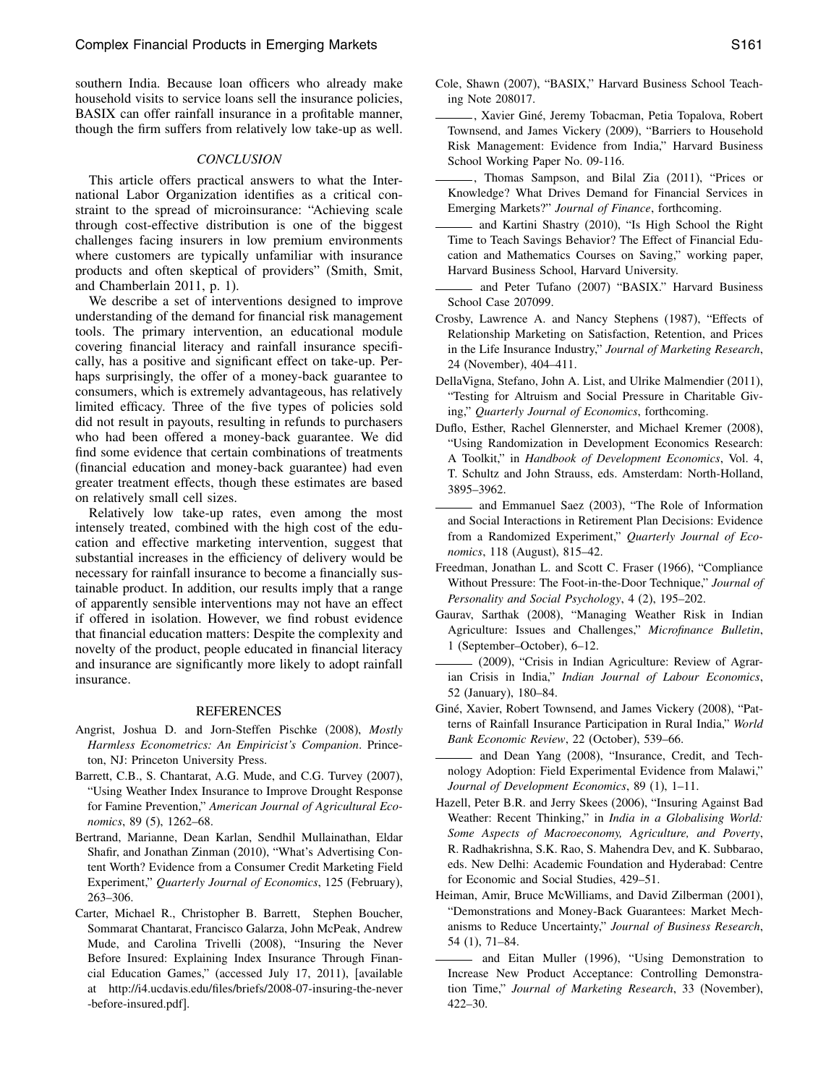southern India. Because loan officers who already make household visits to service loans sell the insurance policies, BASIX can offer rainfall insurance in a profitable manner, though the firm suffers from relatively low take-up as well.

#### **CONCLUSION**

This article offers practical answers to what the International Labor Organization identifies as a critical constraint to the spread of microinsurance: "Achieving scale through cost-effective distribution is one of the biggest challenges facing insurers in low premium environments where customers are typically unfamiliar with insurance products and often skeptical of providers" (Smith, Smit, and Chamberlain 2011, p. 1).

We describe a set of interventions designed to improve understanding of the demand for financial risk management tools. The primary intervention, an educational module covering financial literacy and rainfall insurance specifically, has a positive and significant effect on take-up. Perhaps surprisingly, the offer of a money-back guarantee to consumers, which is extremely advantageous, has relatively limited efficacy. Three of the five types of policies sold did not result in payouts, resulting in refunds to purchasers who had been offered a money-back guarantee. We did find some evidence that certain combinations of treatments (financial education and money-back guarantee) had even greater treatment effects, though these estimates are based on relatively small cell sizes.

Relatively low take-up rates, even among the most intensely treated, combined with the high cost of the education and effective marketing intervention, suggest that substantial increases in the efficiency of delivery would be necessary for rainfall insurance to become a financially sustainable product. In addition, our results imply that a range of apparently sensible interventions may not have an effect if offered in isolation. However, we find robust evidence that financial education matters: Despite the complexity and novelty of the product, people educated in financial literacy and insurance are significantly more likely to adopt rainfall insurance.

#### **REFERENCES**

- Angrist, Joshua D. and Jorn-Steffen Pischke (2008), Mostly Harmless Econometrics: An Empiricist's Companion. Princeton, NJ: Princeton University Press.
- Barrett, C.B., S. Chantarat, A.G. Mude, and C.G. Turvey (2007), "Using Weather Index Insurance to Improve Drought Response for Famine Prevention," American Journal of Agricultural Economics, 89 (5), 1262–68.
- Bertrand, Marianne, Dean Karlan, Sendhil Mullainathan, Eldar Shafir, and Jonathan Zinman (2010), "What's Advertising Content Worth? Evidence from a Consumer Credit Marketing Field Experiment," Quarterly Journal of Economics, 125 (February), 263–306.
- Carter, Michael R., Christopher B. Barrett, Stephen Boucher, Sommarat Chantarat, Francisco Galarza, John McPeak, Andrew Mude, and Carolina Trivelli (2008), "Insuring the Never Before Insured: Explaining Index Insurance Through Financial Education Games," (accessed July 17, 2011), [available at http://i4.ucdavis.edu/files/briefs/2008-07-insuring-the-never -before-insured.pdf].
- Cole, Shawn (2007), "BASIX," Harvard Business School Teaching Note 208017.
- , Xavier Giné, Jeremy Tobacman, Petia Topalova, Robert Townsend, and James Vickery (2009), "Barriers to Household Risk Management: Evidence from India," Harvard Business School Working Paper No. 09-116.
- , Thomas Sampson, and Bilal Zia (2011), "Prices or Knowledge? What Drives Demand for Financial Services in Emerging Markets?" Journal of Finance, forthcoming.
- and Kartini Shastry (2010), "Is High School the Right Time to Teach Savings Behavior? The Effect of Financial Education and Mathematics Courses on Saving," working paper, Harvard Business School, Harvard University.
- and Peter Tufano (2007) "BASIX." Harvard Business School Case 207099.
- Crosby, Lawrence A. and Nancy Stephens (1987), "Effects of Relationship Marketing on Satisfaction, Retention, and Prices in the Life Insurance Industry," Journal of Marketing Research, 24 (November), 404–411.
- DellaVigna, Stefano, John A. List, and Ulrike Malmendier (2011), "Testing for Altruism and Social Pressure in Charitable Giving," Quarterly Journal of Economics, forthcoming.
- Duflo, Esther, Rachel Glennerster, and Michael Kremer (2008), "Using Randomization in Development Economics Research: A Toolkit," in Handbook of Development Economics, Vol. 4, T. Schultz and John Strauss, eds. Amsterdam: North-Holland, 3895–3962.
- and Emmanuel Saez (2003), "The Role of Information and Social Interactions in Retirement Plan Decisions: Evidence from a Randomized Experiment," Quarterly Journal of Economics, 118 (August), 815–42.
- Freedman, Jonathan L. and Scott C. Fraser (1966), "Compliance Without Pressure: The Foot-in-the-Door Technique," Journal of Personality and Social Psychology, 4 (2), 195–202.
- Gaurav, Sarthak (2008), "Managing Weather Risk in Indian Agriculture: Issues and Challenges," Microfinance Bulletin, 1 (September–October), 6–12.
- (2009), "Crisis in Indian Agriculture: Review of Agrarian Crisis in India," Indian Journal of Labour Economics, 52 (January), 180–84.
- Giné, Xavier, Robert Townsend, and James Vickery (2008), "Patterns of Rainfall Insurance Participation in Rural India," World Bank Economic Review, 22 (October), 539–66.
- and Dean Yang (2008), "Insurance, Credit, and Technology Adoption: Field Experimental Evidence from Malawi," Journal of Development Economics, 89 (1), 1–11.
- Hazell, Peter B.R. and Jerry Skees (2006), "Insuring Against Bad Weather: Recent Thinking," in India in a Globalising World: Some Aspects of Macroeconomy, Agriculture, and Poverty, R. Radhakrishna, S.K. Rao, S. Mahendra Dev, and K. Subbarao, eds. New Delhi: Academic Foundation and Hyderabad: Centre for Economic and Social Studies, 429–51.
- Heiman, Amir, Bruce McWilliams, and David Zilberman (2001), "Demonstrations and Money-Back Guarantees: Market Mechanisms to Reduce Uncertainty," Journal of Business Research, 54 (1), 71–84.
- and Eitan Muller (1996), "Using Demonstration to Increase New Product Acceptance: Controlling Demonstration Time," Journal of Marketing Research, 33 (November), 422–30.